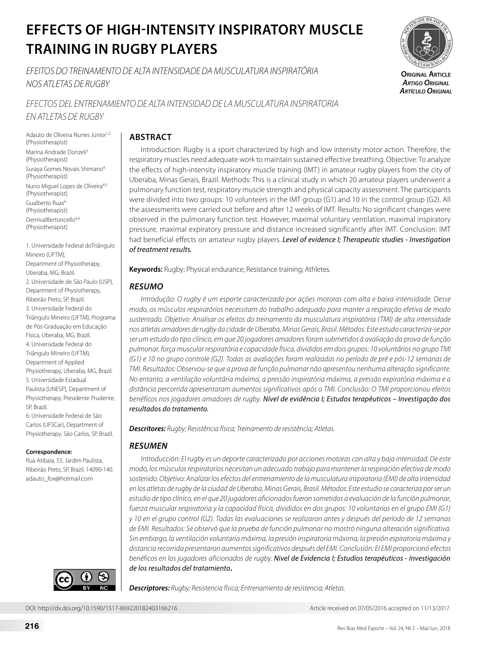# **EFFECTS OF HIGH-INTENSITY INSPIRATORY MUSCLE TRAINING IN RUGBY PLAYERS**

*EFEITOS DO TREINAMENTO DE ALTA INTENSIDADE DA MUSCULATURA INSPIRATÓRIA NOS ATLETAS DE RUGBY*

*EFECTOS DEL ENTRENAMIENTO DE ALTA INTENSIDAD DE LA MUSCULATURA INSPIRATORIA EN ATLETAS DE RUGBY* 

Adauto de Oliveira Nunes Júnior<sup>1,2</sup> (Physiotherapist) Marina Andrade Donzeli<sup>3</sup> (Physiotherapist) Suraya Gomes Novais Shimano4 (Physiotherapist) Nuno Miguel Lopes de Oliveira<sup>4,5</sup> (Physiotherapist) Gualberto Ruas4 (Physiotherapist) DernivalBertoncello4,6 (Physiotherapist)

1. Universidade Federal doTriângulo Mineiro (UFTM), Department of Physiotherapy, Uberaba, MG, Brazil. 2. Universidade de São Paulo (USP), Department of Physiotherapy, Ribeirão Preto, SP, Brazil. 3. Universidade Federal do Triângulo Mineiro (UFTM), Programa de Pós-Graduação em Educação Física, Uberaba, MG, Brazil. 4. Universidade Federal do Triângulo Mineiro (UFTM), Department of Applied Physiotherapy, Uberaba, MG, Brazil. 5. Universidade Estadual Paulista (UNESP), Department of Physiotherapy, Presidente Prudente, SP, Brazil. 6. Universidade Federal de São Carlos (UFSCar), Department of Physiotherapy, São Carlos, SP, Brazil.

# **Correspondence:**

Rua Atibaia, 55, Jardim Paulista, Ribeirão Preto, SP, Brazil. 14090-140. adauto\_fox@hotmail.com



# **ABSTRACT**

Introduction: Rugby is a sport characterized by high and low intensity motor action. Therefore, the respiratory muscles need adequate work to maintain sustained effective breathing. Objective: To analyze the effects of high-intensity inspiratory muscle training (IMT) in amateur rugby players from the city of Uberaba, Minas Gerais, Brazil. Methods: This is a clinical study in which 20 amateur players underwent a pulmonary function test, respiratory muscle strength and physical capacity assessment. The participants were divided into two groups: 10 volunteers in the IMT group (G1) and 10 in the control group (G2). All the assessments were carried out before and after 12 weeks of IMT. Results: No significant changes were observed in the pulmonary function test. However, maximal voluntary ventilation, maximal inspiratory pressure, maximal expiratory pressure and distance increased significantly after IMT. Conclusion: IMT had beneficial effects on amateur rugby players. *Level of evidence I; Therapeutic studies - Investigation of treatment results.*

**Keywords:** Rugby; Physical endurance; Resistance training; Athletes.

# *RESUMO*

*Introdução: O rugby é um esporte caracterizado por ações motoras com alta e baixa intensidade. Desse modo, os músculos respiratórios necessitam do trabalho adequado para manter a respiração efetiva de modo sustentado. Objetivo: Analisar os efeitos do treinamento da musculatura inspiratória (TMI) de alta intensidade nos atletas amadores de rugby da cidade de Uberaba, Minas Gerais, Brasil. Métodos: Este estudo caracteriza-se por ser um estudo do tipo clínico, em que 20 jogadores amadores foram submetidos à avaliação da prova de função pulmonar, força muscular respiratória e capacidade física, divididos em dois grupos: 10 voluntários no grupo TMI (G1) e 10 no grupo controle (G2). Todas as avaliações foram realizadas no período de pré e pós-12 semanas de TMI. Resultados: Observou-se que a prova de função pulmonar não apresentou nenhuma alteração significante. No entanto, a ventilação voluntária máxima, a pressão inspiratória máxima, a pressão expiratória máxima e a distância percorrida apresentaram aumentos significativos após o TMI. Conclusão: O TMI proporcionou efeitos benéficos nos jogadores amadores de rugby. Nível de evidência I; Estudos terapêuticos – Investigação dos resultados do tratamento.* 

*Descritores: Rugby; Resistência física; Treinamento de resistência; Atletas.*

# *RESUMEN*

*Introducción: El rugby es un deporte caracterizado por acciones motoras con alta y baja intensidad. De este modo, los músculos respiratorios necesitan un adecuado trabajo para mantener la respiración efectiva de modo sostenido. Objetivo: Analizar los efectos del entrenamiento de la musculatura inspiratoria (EMI) de alta intensidad en los atletas de rugby de la ciudad de Uberaba, Minas Gerais, Brasil. Métodos: Este estudio se caracteriza por ser un estudio de tipo clínico, en el que 20 jugadores aficionados fueron sometidos a evaluación de la función pulmonar, fuerza muscular respiratoria y la capacidad física, divididos en dos grupos: 10 voluntarios en el grupo EMI (G1) y 10 en el grupo control (G2). Todas las evaluaciones se realizaron antes y después del período de 12 semanas de EMI. Resultados: Se observó que la prueba de función pulmonar no mostró ninguna alteración significativa. Sin embargo, la ventilación voluntaria máxima, la presión inspiratoria máxima, la presión espiratoria máxima y distancia recorrida presentaron aumentos significativos después del EMI. Conclusión: El EMI proporcionó efectos benéficos en los jugadores aficionados de rugby. Nivel de Evidencia I; Estudios terapéuticos - Investigación de los resultados del tratamiento.*

*Descriptores: Rugby; Resistencia física; Entrenamiento de resistencia; Atletas.*



**Original Article** *Artigo Original Artículo Original*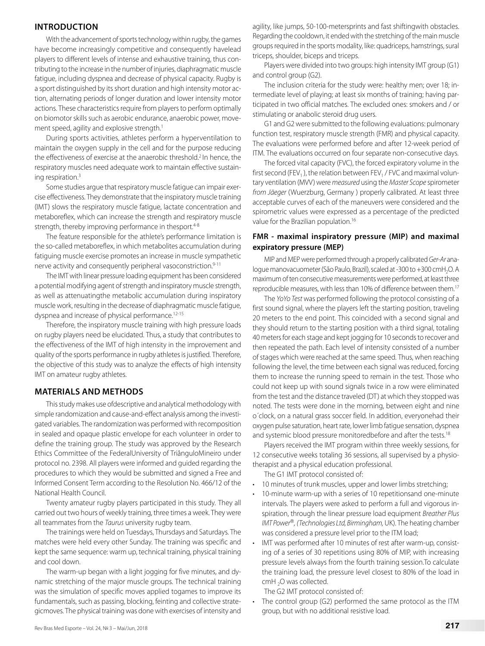# **INTRODUCTION**

With the advancement of sports technology within rugby, the games have become increasingly competitive and consequently havelead players to different levels of intense and exhaustive training, thus contributing to the increase in the number of injuries, diaphragmatic muscle fatigue, including dyspnea and decrease of physical capacity. Rugby is a sport distinguished by its short duration and high intensity motor action, alternating periods of longer duration and lower intensity motor actions. These characteristics require from players to perform optimally on biomotor skills such as aerobic endurance, anaerobic power, movement speed, agility and explosive strength.<sup>1</sup>

During sports activities, athletes perform a hyperventilation to maintain the oxygen supply in the cell and for the purpose reducing the effectiveness of exercise at the anaerobic threshold.2 In hence, the respiratory muscles need adequate work to maintain effective sustaining respiration.3

Some studies argue that respiratory muscle fatigue can impair exercise effectiveness. They demonstrate that the inspiratory muscle training (IMT) slows the respiratory muscle fatigue, lactate concentration and metaboreflex, which can increase the strength and respiratory muscle strength, thereby improving performance in thesport.<sup>4-8</sup>

The feature responsible for the athlete's performance limitation is the so-called metaboreflex, in which metabolites accumulation during fatiguing muscle exercise promotes an increase in muscle sympathetic nerve activity and consequently peripheral vasoconstriction.<sup>9-11</sup>

The IMT with linear pressure loading equipment has been considered a potential modifying agent of strength and inspiratory muscle strength, as well as attenuatingthe metabolic accumulation during inspiratory muscle work, resulting in the decrease of diaphragmatic muscle fatigue, dyspnea and increase of physical performance.<sup>12-15</sup>

Therefore, the inspiratory muscle training with high pressure loads on rugby players need be elucidated. Thus, a study that contributes to the effectiveness of the IMT of high intensity in the improvement and quality of the sports performance in rugby athletes is justified*.* Therefore, the objective of this study was to analyze the effects of high intensity IMT on amateur rugby athletes.

# **MATERIALS AND METHODS**

This study makes use ofdescriptive and analytical methodology with simple randomization and cause-and-effect analysis among the investigated variables. The randomization was performed with recomposition in sealed and opaque plastic envelope for each volunteer in order to define the training group. The study was approved by the Research Ethics Committee of the FederalUniversity of TriânguloMineiro under protocol no. 2398. All players were informed and guided regarding the procedures to which they would be submitted and signed a Free and Informed Consent Term according to the Resolution No. 466/12 of the National Health Council.

Twenty amateur rugby players participated in this study*.* They all carried out two hours of weekly training, three times a week. They were all teammates from the *Taurus* university rugby team.

The trainings were held on Tuesdays, Thursdays and Saturdays. The matches were held every other Sunday. The training was specific and kept the same sequence: warm up, technical training, physical training and cool down.

The warm-up began with a light jogging for five minutes, and dynamic stretching of the major muscle groups. The technical training was the simulation of specific moves applied togames to improve its fundamentals, such as passing, blocking, feinting and collective strategicmoves. The physical training was done with exercises of intensity and

agility, like jumps, 50-100-metersprints and fast shiftingwith obstacles. Regarding the cooldown, it ended with the stretching of the main muscle groups required in the sports modality, like: quadriceps, hamstrings, sural triceps, shoulder, biceps and triceps.

Players were divided into two groups: high intensity IMT group (G1) and control group (G2).

The inclusion criteria for the study were: healthy men; over 18; intermediate level of playing; at least six months of training; having participated in two official matches. The excluded ones: smokers and / or stimulating or anabolic steroid drug users.

G1 and G2 were submitted to the following evaluations: pulmonary function test, respiratory muscle strength (FMR) and physical capacity. The evaluations were performed before and after 12-week period of ITM. The evaluations occurred on four separate non-consecutive days.

The forced vital capacity (FVC), the forced expiratory volume in the first second (FEV<sub>1</sub>), the relation between FEV<sub>1</sub> / FVC and maximal voluntary ventilation (MVV) were *measured* using the *Master Scope* spirometer *from Jäeger* (Wuerzburg, Germany ) properly calibrated. At least three acceptable curves of each of the maneuvers were considered and the spirometric values were expressed as a percentage of the predicted value for the Brazilian population.16

# **FMR - maximal inspiratory pressure (MIP) and maximal expiratory pressure (MEP)**

MIP and MEP were performed through a properly calibrated *Ger-Ar* analogue manovacuometer (São Paulo, Brazil), scaled at -300 to +300 cmH<sub>2</sub>O. A maximum of ten consecutive measurements were performed, at least three reproducible measures, with less than 10% of difference between them.17

The *YoYo Test* was performed following the protocol consisting of a first sound signal, where the players left the starting position, traveling 20 meters to the end point. This coincided with a second signal and they should return to the starting position with a third signal, totaling 40 meters for each stage and kept jogging for 10 seconds to recover and then repeated the path. Each level of intensity consisted of a number of stages which were reached at the same speed. Thus, when reaching following the level, the time between each signal was reduced, forcing them to increase the running speed to remain in the test. Those who could not keep up with sound signals twice in a row were eliminated from the test and the distance traveled (DT) at which they stopped was noted. The tests were done in the morning, between eight and nine o´clock, on a natural grass soccer field. In addition, everyonehad their oxygen pulse saturation, heart rate, lower limb fatigue sensation, dyspnea and systemic blood pressure monitoredbefore and after the tests.<sup>18</sup>

Players received the IMT program within three weekly sessions, for 12 consecutive weeks totaling 36 sessions, all supervised by a physiotherapist and a physical education professional.

The G1 IMT protocol consisted of:

- 10 minutes of trunk muscles, upper and lower limbs stretching;
- 10-minute warm-up with a series of 10 repetitionsand one-minute intervals. The players were asked to perform a full and vigorous inspiration, through the linear pressure load equipment *Breather Plus IMT Power*®*, (Technologies Ltd, Birmingham,* UK). The heating chamber was considered a pressure level prior to the ITM load;
- IMT was performed after 10 minutes of rest after warm-up, consisting of a series of 30 repetitions using 80% of MIP, with increasing pressure levels always from the fourth training session.To calculate the training load, the pressure level closest to 80% of the load in cmH  $_2$ O was collected.

The G2 IMT protocol consisted of:

The control group (G2) performed the same protocol as the ITM group, but with no additional resistive load.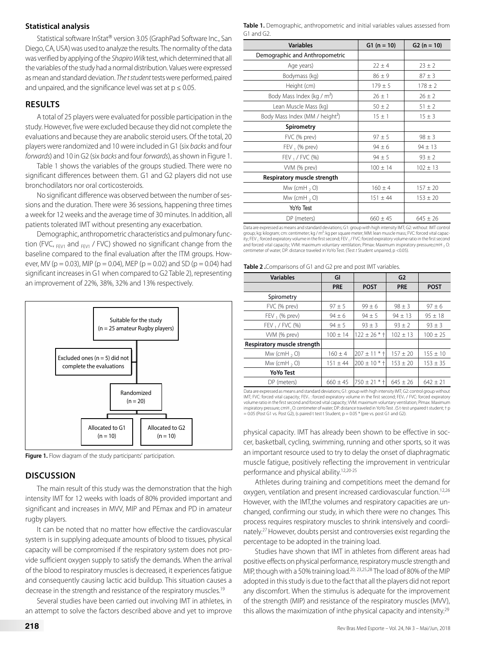## **Statistical analysis**

Statistical software InStat® version 3.05 (GraphPad Software Inc., San Diego, CA, USA) was used to analyze the results. The normality of the data was verified by applying of the *Shapiro Wilk* test, which determined that all the variables of the study had a normal distribution. Values were expressed as mean and standard deviation. *The t student* tests were performed, paired and unpaired, and the significance level was set at  $p \le 0.05$ .

## **RESULTS**

A total of 25 players were evaluated for possible participation in the study. However, five were excluded because they did not complete the evaluations and because they are anabolic steroid users. Of the total, 20 players were randomized and 10 were included in G1 (six *backs* and four *forwards*) and 10 in G2 (six *backs* and four *forwards*), as shown in Figure 1.

Table 1 shows the variables of the groups studied. There were no significant differences between them. G1 and G2 players did not use bronchodilators nor oral corticosteroids.

No significant difference was observed between the number of sessions and the duration. There were 36 sessions, happening three times a week for 12 weeks and the average time of 30 minutes. In addition, all patients tolerated IMT without presenting any exacerbation.

Demographic, anthropometric characteristics and pulmonary function (FVC,  $F_{FVI}$  and  $F_{FVI}$  / FVC) showed no significant change from the baseline compared to the final evaluation after the ITM groups. However, MV ( $p = 0.03$ ), MIP ( $p = 0.04$ ), MEP ( $p = 0.02$ ) and SD ( $p = 0.04$ ) had significant increases in G1 when compared to G2 Table 2), representing an improvement of 22%, 38%, 32% and 13% respectively.



**Figure 1.** Flow diagram of the study participants' participation.

# **DISCUSSION**

The main result of this study was the demonstration that the high intensity IMT for 12 weeks with loads of 80% provided important and significant and increases in MVV, MIP and PEmax and PD in amateur rugby players.

It can be noted that no matter how effective the cardiovascular system is in supplying adequate amounts of blood to tissues, physical capacity will be compromised if the respiratory system does not provide sufficient oxygen supply to satisfy the demands. When the arrival of the blood to respiratory muscles is decreased, it experiences fatigue and consequently causing lactic acid buildup. This situation causes a decrease in the strength and resistance of the respiratory muscles.19

Several studies have been carried out involving IMT in athletes, in an attempt to solve the factors described above and yet to improve

**Table 1.** Demographic, anthropometric and initial variables values assessed from G1 and G2.

| <b>Variables</b>                            | $G1 (n = 10)$                | $G2 (n = 10)$ |
|---------------------------------------------|------------------------------|---------------|
| Demographic and Anthropometric              |                              |               |
| Age years)                                  | $22 \pm 4$                   | $23 \pm 2$    |
| Bodymass (kg)                               | $86 \pm 9$                   | $87 \pm 3$    |
| Height (cm)                                 | $179 \pm 5$                  | $178 \pm 2$   |
| Body Mass Index (kg / m <sup>2</sup> )      | $26 \pm 1$                   | $26 \pm 2$    |
| Lean Muscle Mass (kg)                       | $50 \pm 2$                   | $51 \pm 2$    |
| Body Mass Index (MM / height <sup>2</sup> ) | $15 \pm 1$                   | $15 \pm 3$    |
| Spirometry                                  |                              |               |
| FVC (% prev)                                | $97 \pm 5$                   | $98 \pm 3$    |
| $FEV_1$ (% prev)                            | $94 \pm 6$                   | $94 \pm 13$   |
| FEV, / FVC (%)                              | $94 \pm 5$                   | $93 \pm 2$    |
| VVM (% prev)                                | $100 \pm 14$                 | $102 \pm 13$  |
| Respiratory muscle strength                 |                              |               |
| Mw (cmH, $\circ$ O)                         | $160 \pm 4$                  | $157 \pm 20$  |
| Mw (cmH, $\circ$ O)                         | $151 \pm 44$<br>$153 \pm 20$ |               |
| YoYo Test                                   |                              |               |
| DP (meters)                                 | $660 \pm 45$                 | $645 \pm 26$  |

Data are expressed as means and standard deviations; G1: group with high intensity IMT; G2: without IMT control group; kg: kilogram; cm: centimeter; kg / m²: kg per square meter; MM: lean muscle mass; FVC: forced vital capacity; FEV 1: forced expiratory volume in the first second; FEV 1 / FVC: forced expiratory volume ratio in the first second and forced vital capacity; WM: maximum voluntary ventilation; PImax: Maximum inspiratory pressure;cmH <sub>2</sub> O:<br>centimeter of water; DP: distance traveled in YoYo Test. (Test *t* Student unpaired, p <0.05).

**Table 2 .**Comparisons of G1 and G2 pre and post IMT variables.

| <b>Variables</b>            | GI           |                          | G <sub>2</sub> |              |
|-----------------------------|--------------|--------------------------|----------------|--------------|
|                             | <b>PRE</b>   | <b>POST</b>              | <b>PRE</b>     | <b>POST</b>  |
| Spirometry                  |              |                          |                |              |
| FVC (% prev)                | $97 \pm 5$   | $99 \pm 6$               | $98 \pm 3$     | $97 \pm 6$   |
| $FEV_1$ (% prev)            | $94 \pm 6$   | $94 \pm 5$               | $94 \pm 13$    | $95 \pm 18$  |
| FEV, $/$ FVC $(\%)$         | $94 \pm 5$   | $93 + 3$                 | $93 + 2$       | $93 + 3$     |
| VVM (% prev)                | $100 \pm 14$ | $122 \pm 26$ * $\dagger$ | $102 \pm 13$   | $100 \pm 25$ |
| Respiratory muscle strength |              |                          |                |              |
| Mw (cmH, $\circ$ )          | $160 \pm 4$  | $207 \pm 11$ * $\dagger$ | $157 \pm 20$   | $155 \pm 10$ |
| Mw (cmH, $\circ$ O)         | $151 \pm 44$ | $200 \pm 10$ * $\dagger$ | $153 \pm 20$   | $153 \pm 35$ |
| <b>YoYo Test</b>            |              |                          |                |              |
| DP (meters)                 | $660 \pm 45$ | $750 \pm 21$ * $\dagger$ | $645 \pm 26$   | $642 \pm 21$ |

Data are expressed as means and standard deviations; G1: group with high intensity IMT; G2: control group without<br>IMT; FVC: forced vital capacity; FEV<sub>1</sub> : forced expiratory volume in the first second; FEV<sub>1</sub> / FVC: forced volume ratio in the first second and forced vital capacity; VVM: maximum voluntary ventilation; PImax: Maximum inspiratory pressure; cmH <sub>2</sub> O: centimeter of water; DP: distance traveled in YoYo Test . (S t-test unpaired t student; † p<br>= 0.05 (Post G1 vs. Post G2), (s paired t test t Student; p = 0.05 \* (pre vs. post G1 and G2).

physical capacity. IMT has already been shown to be effective in soccer, basketball, cycling, swimming, running and other sports, so it was an important resource used to try to delay the onset of diaphragmatic muscle fatigue, positively reflecting the improvement in ventricular performance and physical ability.12,20-25

Athletes during training and competitions meet the demand for oxygen, ventilation and present increased cardiovascular function.<sup>12,26</sup> However, with the IMT,the volumes and respiratory capacities are unchanged, confirming our study, in which there were no changes. This process requires respiratory muscles to shrink intensively and coordinately.27 However, doubts persist and controversies exist regarding the percentage to be adopted in the training load.

Studies have shown that IMT in athletes from different areas had positive effects on physical performance, respiratory muscle strength and MIP, though with a 50% training load.20, 23,25,28 The load of 80% of the MIP adopted in this study is due to the fact that all the players did not report any discomfort. When the stimulus is adequate for the improvement of the strength (MIP) and resistance of the respiratory muscles (MVV), this allows the maximization of inthe physical capacity and intensity.29